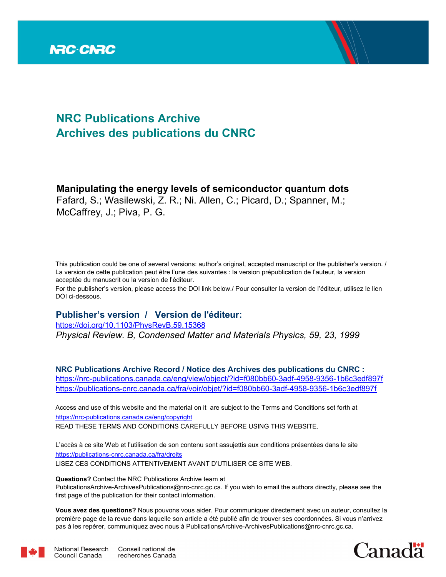

## **NRC Publications Archive Archives des publications du CNRC**

## **Manipulating the energy levels of semiconductor quantum dots**

Fafard, S.; Wasilewski, Z. R.; Ni. Allen, C.; Picard, D.; Spanner, M.; McCaffrey, J.; Piva, P. G.

This publication could be one of several versions: author's original, accepted manuscript or the publisher's version. / La version de cette publication peut être l'une des suivantes : la version prépublication de l'auteur, la version acceptée du manuscrit ou la version de l'éditeur.

For the publisher's version, please access the DOI link below./ Pour consulter la version de l'éditeur, utilisez le lien DOI ci-dessous.

## **Publisher's version / Version de l'éditeur:**

*Physical Review. B, Condensed Matter and Materials Physics, 59, 23, 1999* https://doi.org/10.1103/PhysRevB.59.15368

**NRC Publications Archive Record / Notice des Archives des publications du CNRC :** https://nrc-publications.canada.ca/eng/view/object/?id=f080bb60-3adf-4958-9356-1b6c3edf897f https://publications-cnrc.canada.ca/fra/voir/objet/?id=f080bb60-3adf-4958-9356-1b6c3edf897f

READ THESE TERMS AND CONDITIONS CAREFULLY BEFORE USING THIS WEBSITE. https://nrc-publications.canada.ca/eng/copyright Access and use of this website and the material on it are subject to the Terms and Conditions set forth at

https://publications-cnrc.canada.ca/fra/droits L'accès à ce site Web et l'utilisation de son contenu sont assujettis aux conditions présentées dans le site LISEZ CES CONDITIONS ATTENTIVEMENT AVANT D'UTILISER CE SITE WEB.

**Questions?** Contact the NRC Publications Archive team at

PublicationsArchive-ArchivesPublications@nrc-cnrc.gc.ca. If you wish to email the authors directly, please see the first page of the publication for their contact information.

**Vous avez des questions?** Nous pouvons vous aider. Pour communiquer directement avec un auteur, consultez la première page de la revue dans laquelle son article a été publié afin de trouver ses coordonnées. Si vous n'arrivez pas à les repérer, communiquez avec nous à PublicationsArchive-ArchivesPublications@nrc-cnrc.gc.ca.



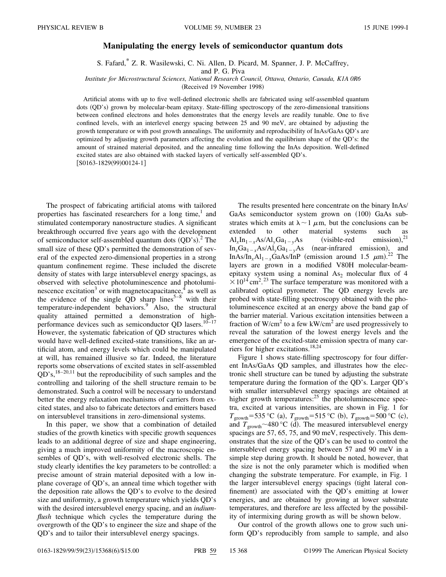## **Manipulating the energy levels of semiconductor quantum dots**

S. Fafard,\* Z. R. Wasilewski, C. Ni. Allen, D. Picard, M. Spanner, J. P. McCaffrey,

and P. G. Piva

*Institute for Microstructural Sciences, National Research Council, Ottawa, Ontario, Canada, K1A 0R6*

(Received 19 November 1998)

Artificial atoms with up to five well-defined electronic shells are fabricated using self-assembled quantum dots (QD's) grown by molecular-beam epitaxy. State-filling spectroscopy of the zero-dimensional transitions between confined electrons and holes demonstrates that the energy levels are readily tunable. One to five confined levels, with an interlevel energy spacing between 25 and 90 meV, are obtained by adjusting the growth temperature or with post growth annealings. The uniformity and reproducibility of InAs/GaAs QD's are optimized by adjusting growth parameters affecting the evolution and the equilibrium shape of the QD's: the amount of strained material deposited, and the annealing time following the InAs deposition. Well-defined excited states are also obtained with stacked layers of vertically self-assembled QD's.  $[$ S0163-1829(99)00124-1]

The prospect of fabricating artificial atoms with tailored properties has fascinated researchers for a long time,<sup>1</sup> and stimulated contemporary nanostructure studies. A significant breakthrough occurred five years ago with the development of semiconductor self-assembled quantum dots  $(QD's)$ .<sup>2</sup> The small size of these QD's permitted the demonstration of several of the expected zero-dimensional properties in a strong quantum confinement regime. These included the discrete density of states with large intersublevel energy spacings, as observed with selective photoluminescence and photoluminescence excitation<sup>3</sup> or with magnetocapacitance,  $\frac{4}{3}$  as well as the evidence of the single QD sharp lines<sup>5–8</sup> with their temperature-independent behaviors.<sup>9</sup> Also, the structural quality attained permitted a demonstration of highperformance devices such as semiconductor QD lasers.<sup>10–17</sup> However, the systematic fabrication of QD structures which would have well-defined excited-state transitions, like an artificial atom, and energy levels which could be manipulated at will, has remained illusive so far. Indeed, the literature reports some observations of excited states in self-assembled  $QD's$ ,<sup>18–20,11</sup> but the reproducibility of such samples and the controlling and tailoring of the shell structure remain to be demonstrated. Such a control will be necessary to understand better the energy relaxation mechanisms of carriers from excited states, and also to fabricate detectors and emitters based on intersublevel transitions in zero-dimensional systems.

In this paper, we show that a combination of detailed studies of the growth kinetics with specific growth sequences leads to an additional degree of size and shape engineering, giving a much improved uniformity of the macroscopic ensembles of QD's, with well-resolved electronic shells. The study clearly identifies the key parameters to be controlled: a precise amount of strain material deposited with a low inplane coverage of QD's, an anneal time which together with the deposition rate allows the QD's to evolve to the desired size and uniformity, a growth temperature which yields QD's with the desired intersublevel energy spacing, and an *indiumflush* technique which cycles the temperature during the overgrowth of the QD's to engineer the size and shape of the QD's and to tailor their intersublevel energy spacings.

The results presented here concentrate on the binary InAs/ GaAs semiconductor system grown on (100) GaAs substrates which emits at  $\lambda \sim 1 \mu m$ , but the conclusions can be extended to other material systems such as  $\text{Al}_x \text{In}_{1-x} \text{As}/\text{Al}_y \text{Ga}_{1-y} \text{As}$  (visible-red emission), emission). $21$  $In_xGa_{1-x}As/Al_yGa_{1-y}As$  (near-infrared emission), and InAs/In<sub>x</sub>Al<sub>1-x</sub>GaAs/InP (emission around 1.5  $\mu$ m).<sup>22</sup> The layers are grown in a modified V80H molecular-beamepitaxy system using a nominal  $As<sub>2</sub>$  molecular flux of 4  $\times 10^{14}$  cm<sup>2</sup>.<sup>23</sup> The surface temperature was monitored with a calibrated optical pyrometer. The QD energy levels are probed with state-filling spectroscopy obtained with the photoluminescence excited at an energy above the band gap of the barrier material. Various excitation intensities between a fraction of W/cm<sup>2</sup> to a few kW/cm<sup>2</sup> are used progressively to reveal the saturation of the lowest energy levels and the emergence of the excited-state emission spectra of many carriers for higher excitations.18,24

Figure 1 shows state-filling spectroscopy for four different InAs/GaAs QD samples, and illustrates how the electronic shell structure can be tuned by adjusting the substrate temperature during the formation of the QD's. Larger QD's with smaller intersublevel energy spacings are obtained at higher growth temperatures: $2<sup>5</sup>$  the photoluminescence spectra, excited at various intensities, are shown in Fig. 1 for  $T_{\text{growth}}$ =535 °C (a),  $T_{\text{growth}}$ =515 °C (b),  $T_{\text{growth}}$ =500 °C (c), and  $T_{\text{growth}} \sim 480 \degree C$  (d). The measured intersublevel energy spacings are 57, 65, 75, and 90 meV, respectively. This demonstrates that the size of the QD's can be used to control the intersublevel energy spacing between 57 and 90 meV in a simple step during growth. It should be noted, however, that the size is not the only parameter which is modified when changing the substrate temperature. For example, in Fig. 1 the larger intersublevel energy spacings (tight lateral confinement) are associated with the QD's emitting at lower energies, and are obtained by growing at lower substrate temperatures, and therefore are less affected by the possibility of intermixing during growth as will be shown below.

Our control of the growth allows one to grow such uniform QD's reproducibly from sample to sample, and also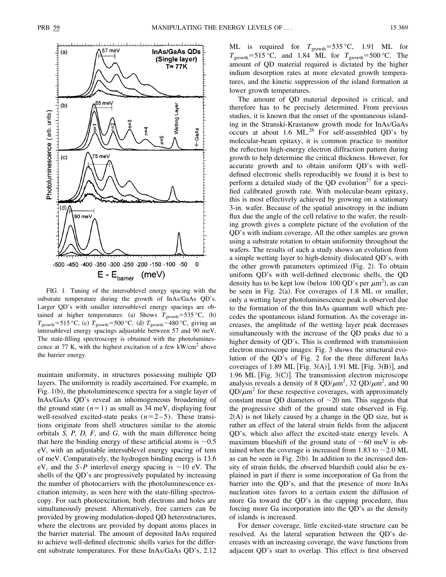

FIG. 1. Tuning of the intersublevel energy spacing with the substrate temperature during the growth of InAs/GaAs QD's. Larger QD's with smaller intersublevel energy spacings are obtained at higher temperatures: (a) Shows  $T_{\text{growth}}$ =535 °C, (b)  $T_{\text{growth}}$ =515 °C, (c)  $T_{\text{growth}}$ =500 °C, (d)  $T_{\text{growth}}$ ~480 °C, giving an intersublevel energy spacings adjustable between 57 and 90 meV. The state-filling spectroscopy is obtained with the photoluminescence at 77 K, with the highest excitation of a few  $kW/cm<sup>2</sup>$  above the barrier energy.

maintain uniformity, in structures possessing multiple QD layers. The uniformity is readily ascertained. For example, in Fig.  $1(b)$ , the photoluminescence spectra for a single layer of InAs/GaAs QD's reveal an inhomogeneous broadening of the ground state  $(n=1)$  as small as 34 meV, displaying four well-resolved excited-state peaks  $(n=2-5)$ . These transitions originate from shell structures similar to the atomic orbitals *S, P, D, F*, and *G*, with the main difference being that here the binding energy of these artificial atoms is  $\sim 0.5$ eV, with an adjustable intersublevel energy spacing of tens of meV. Comparatively, the hydrogen binding energy is 13.6 eV, and the *S-P* interlevel energy spacing is  $\sim$ 10 eV. The shells of the QD's are progressively populated by increasing the number of photocarriers with the photoluminescence excitation intensity, as seen here with the state-filling spectroscopy. For such photoexcitation, both electrons and holes are simultaneously present. Alternatively, free carriers can be provided by growing modulation-doped QD heterostructures, where the electrons are provided by dopant atoms places in the barrier material. The amount of deposited InAs required to achieve well-defined electronic shells varies for the different substrate temperatures. For these InAs/GaAs QD's, 2.12 ML is required for  $T_{\text{growth}}=535 \text{ °C}$ , 1.91 ML for  $T_{\text{growth}}$ =515 °C, and 1.84 ML for  $T_{\text{growth}}$ =500 °C. The amount of QD material required is dictated by the higher indium desorption rates at more elevated growth temperatures, and the kinetic suppression of the island formation at lower growth temperatures.

The amount of QD material deposited is critical, and therefore has to be precisely determined. From previous studies, it is known that the onset of the spontaneous islanding in the Stranski-Krastanow growth mode for InAs/GaAs occurs at about 1.6 ML. $^{26}$  For self-assembled QD's by molecular-beam epitaxy, it is common practice to monitor the reflection high-energy electron diffraction pattern during growth to help determine the critical thickness. However, for accurate growth and to obtain uniform QD's with welldefined electronic shells reproducibly we found it is best to perform a detailed study of the QD evolution<sup>27</sup> for a specified calibrated growth rate. With molecular-beam epitaxy, this is most effectively achieved by growing on a stationary 3-in. wafer. Because of the spatial anisotropy in the indium flux due the angle of the cell relative to the wafer, the resulting growth gives a complete picture of the evolution of the QD's with indium coverage. All the other samples are grown using a substrate rotation to obtain uniformity throughout the wafers. The results of such a study shows an evolution from a simple wetting layer to high-density dislocated QD's, with the other growth parameters optimized  $(Fig. 2)$ . To obtain uniform QD's with well-defined electronic shells, the QD density has to be kept low (below 100 QD's per  $\mu$ m<sup>2</sup>), as can be seen in Fig.  $2(a)$ . For coverages of 1.8 ML or smaller, only a wetting layer photoluminescence peak is observed due to the formation of the thin InAs quantum well which precedes the spontaneous island formation. As the coverage increases, the amplitude of the wetting layer peak decreases simultaneously with the increase of the QD peaks due to a higher density of QD's. This is confirmed with transmission electron microscope images: Fig. 3 shows the structural evolution of the QD's of Fig. 2 for the three different InAs coverages of 1.89 ML  $\text{[Fig. 3(A)], 1.91 ML } \text{[Fig. 3(B)], and}$ 1.96 ML [Fig.  $3(C)$ ]. The transmission electron microscope analysis reveals a density of 8 QD/ $\mu$ m<sup>2</sup>, 32 QD/ $\mu$ m<sup>2</sup>, and 90  $QD/\mu m^2$  for these respective coverages, with approximately constant mean QD diameters of  $\sim$ 20 nm. This suggests that the progressive shift of the ground state observed in Fig.  $2(A)$  is not likely caused by a change in the QD size, but is rather an effect of the lateral strain fields from the adjacent QD's, which also affect the excited-state energy levels. A maximum blueshift of the ground state of  $\sim 60$  meV is obtained when the coverage is increased from 1.83 to  $\sim$  2.0 ML as can be seen in Fig.  $2(b)$ . In addition to the increased density of strain fields, the observed blueshift could also be explained in part if there is some incorporation of Ga from the barrier into the QD's, and that the presence of more InAs nucleation sites favors to a certain extent the diffusion of more Ga toward the QD's in the capping procedure, thus forcing more Ga incorporation into the QD's as the density of islands is increased.

For denser coverage, little excited-state structure can be resolved. As the lateral separation between the QD's decreases with an increasing coverage, the wave functions from adjacent QD's start to overlap. This effect is first observed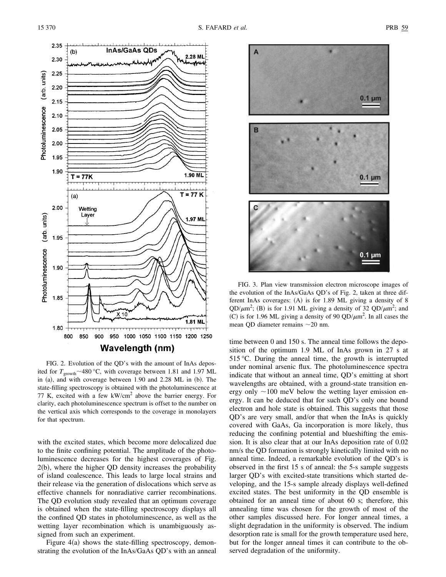

FIG. 2. Evolution of the QD's with the amount of InAs deposited for  $T_{\text{growth}} \sim 480 \degree C$ , with coverage between 1.81 and 1.97 ML in  $(a)$ , and with coverage between 1.90 and 2.28 ML in  $(b)$ . The state-filling spectroscopy is obtained with the photoluminescence at 77 K, excited with a few  $kW/cm<sup>2</sup>$  above the barrier energy. For clarity, each photoluminescence spectrum is offset to the number on the vertical axis which corresponds to the coverage in monolayers for that spectrum.

with the excited states, which become more delocalized due to the finite confining potential. The amplitude of the photoluminescence decreases for the highest coverages of Fig.  $2(b)$ , where the higher QD density increases the probability of island coalescence. This leads to large local strains and their release via the generation of dislocations which serve as effective channels for nonradiative carrier recombinations. The QD evolution study revealed that an optimum coverage is obtained when the state-filling spectroscopy displays all the confined QD states in photoluminescence, as well as the wetting layer recombination which is unambiguously assigned from such an experiment.

Figure  $4(a)$  shows the state-filling spectroscopy, demonstrating the evolution of the InAs/GaAs QD's with an anneal



FIG. 3. Plan view transmission electron microscope images of the evolution of the InAs/GaAs QD's of Fig. 2, taken at three different InAs coverages:  $(A)$  is for 1.89 ML giving a density of 8  $QD/\mu m^2$ ; (B) is for 1.91 ML giving a density of 32  $QD/\mu m^2$ ; and (C) is for 1.96 ML giving a density of 90 QD/ $\mu$ m<sup>2</sup>. In all cases the mean QD diameter remains  $\sim$  20 nm.

time between 0 and 150 s. The anneal time follows the deposition of the optimum 1.9 ML of InAs grown in 27 s at 515 °C. During the anneal time, the growth is interrupted under nominal arsenic flux. The photoluminescence spectra indicate that without an anneal time, QD's emitting at short wavelengths are obtained, with a ground-state transition energy only  $\sim$ 100 meV below the wetting layer emission energy. It can be deduced that for such QD's only one bound electron and hole state is obtained. This suggests that those QD's are very small, and/or that when the InAs is quickly covered with GaAs, Ga incorporation is more likely, thus reducing the confining potential and blueshifting the emission. It is also clear that at our InAs deposition rate of 0.02 nm/s the QD formation is strongly kinetically limited with no anneal time. Indeed, a remarkable evolution of the QD's is observed in the first 15 s of anneal: the 5-s sample suggests larger QD's with excited-state transitions which started developing, and the 15-s sample already displays well-defined excited states. The best uniformity in the QD ensemble is obtained for an anneal time of about 60 s; therefore, this annealing time was chosen for the growth of most of the other samples discussed here. For longer anneal times, a slight degradation in the uniformity is observed. The indium desorption rate is small for the growth temperature used here, but for the longer anneal times it can contribute to the observed degradation of the uniformity.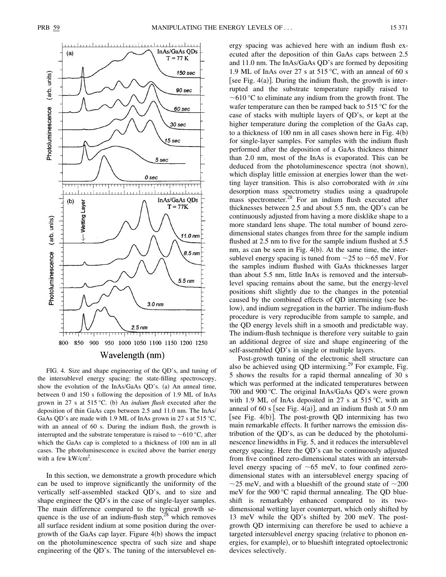

FIG. 4. Size and shape engineering of the QD's, and tuning of the intersublevel energy spacing: the state-filling spectroscopy, show the evolution of the  $InAs/GaAs$  QD's. (a) An anneal time, between 0 and 150 s following the deposition of 1.9 ML of InAs grown in 27 s at 515 °C. (b) An *indium flush* executed after the deposition of thin GaAs caps between 2.5 and 11.0 nm. The InAs/ GaAs QD's are made with 1.9 ML of InAs grown in 27 s at 515 °C, with an anneal of 60 s. During the indium flush, the growth is interrupted and the substrate temperature is raised to  $\sim$  610 °C, after which the GaAs cap is completed to a thickness of 100 nm in all cases. The photoluminescence is excited above the barrier energy with a few kW/cm<sup>2</sup>.

In this section, we demonstrate a growth procedure which can be used to improve significantly the uniformity of the vertically self-assembled stacked QD's, and to size and shape engineer the QD's in the case of single-layer samples. The main difference compared to the typical growth sequence is the use of an indium-flush step, $^{28}$  which removes all surface resident indium at some position during the overgrowth of the GaAs cap layer. Figure  $4(b)$  shows the impact on the photoluminescence spectra of such size and shape engineering of the QD's. The tuning of the intersublevel en-

ergy spacing was achieved here with an indium flush executed after the deposition of thin GaAs caps between 2.5 and 11.0 nm. The InAs/GaAs QD's are formed by depositing 1.9 ML of InAs over 27 s at 515 °C, with an anneal of 60 s [see Fig. 4(a)]. During the indium flush, the growth is interrupted and the substrate temperature rapidly raised to  $\sim$  610 °C to eliminate any indium from the growth front. The wafer temperature can then be ramped back to 515 °C for the case of stacks with multiple layers of QD's, or kept at the higher temperature during the completion of the GaAs cap, to a thickness of 100 nm in all cases shown here in Fig.  $4(b)$ for single-layer samples. For samples with the indium flush performed after the deposition of a GaAs thickness thinner than 2.0 nm, most of the InAs is evaporated. This can be deduced from the photoluminescence spectra (not shown), which display little emission at energies lower than the wetting layer transition. This is also corroborated with *in situ* desorption mass spectrometry studies using a quadrupole mass spectrometer.<sup>28</sup> For an indium flush executed after thicknesses between 2.5 and about 5.5 nm, the QD's can be continuously adjusted from having a more disklike shape to a more standard lens shape. The total number of bound zerodimensional states changes from three for the sample indium flushed at 2.5 nm to five for the sample indium flushed at 5.5 nm, as can be seen in Fig.  $4(b)$ . At the same time, the intersublevel energy spacing is tuned from  $\sim$ 25 to  $\sim$ 65 meV. For the samples indium flushed with GaAs thicknesses larger than about 5.5 nm, little InAs is removed and the intersublevel spacing remains about the same, but the energy-level positions shift slightly due to the changes in the potential caused by the combined effects of QD intermixing (see below), and indium segregation in the barrier. The indium-flush procedure is very reproducible from sample to sample, and the QD energy levels shift in a smooth and predictable way. The indium-flush technique is therefore very suitable to gain an additional degree of size and shape engineering of the self-assembled QD's in single or multiple layers.

Post-growth tuning of the electronic shell structure can also be achieved using QD intermixing.<sup>29</sup> For example, Fig. 5 shows the results for a rapid thermal annealing of 30 s which was performed at the indicated temperatures between 700 and 900 °C. The original InAs/GaAs QD's were grown with 1.9 ML of InAs deposited in 27 s at 515 °C, with an anneal of 60 s [see Fig. 4(a)], and an indium flush at 5.0 nm [see Fig. 4(b)]. The post-growth QD intermixing has two main remarkable effects. It further narrows the emission distribution of the QD's, as can be deduced by the photoluminescence linewidths in Fig. 5, and it reduces the intersublevel energy spacing. Here the QD's can be continuously adjusted from five confined zero-dimensional states with an intersublevel energy spacing of  $\sim 65$  meV, to four confined zerodimensional states with an intersublevel energy spacing of  $\sim$ 25 meV, and with a blueshift of the ground state of  $\sim$ 200 meV for the 900 °C rapid thermal annealing. The QD blueshift is remarkably enhanced compared to its twodimensional wetting layer counterpart, which only shifted by 13 meV while the QD's shifted by 200 meV. The postgrowth QD intermixing can therefore be used to achieve a targeted intersublevel energy spacing (relative to phonon energies, for example), or to blueshift integrated optoelectronic devices selectively.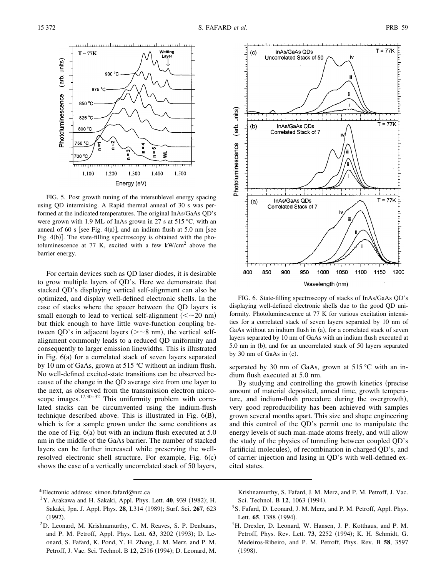

FIG. 5. Post growth tuning of the intersublevel energy spacing using QD intermixing. A Rapid thermal anneal of 30 s was performed at the indicated temperatures. The original InAs/GaAs QD's were grown with 1.9 ML of InAs grown in 27 s at 515 °C, with an anneal of 60 s [see Fig. 4(a)], and an indium flush at 5.0 nm [see Fig.  $4(b)$ ]. The state-filling spectroscopy is obtained with the photoluminescence at 77 K, excited with a few  $kW/cm<sup>2</sup>$  above the barrier energy.

For certain devices such as QD laser diodes, it is desirable to grow multiple layers of QD's. Here we demonstrate that stacked QD's displaying vertical self-alignment can also be optimized, and display well-defined electronic shells. In the case of stacks where the spacer between the QD layers is small enough to lead to vertical self-alignment  $\left(<\sim 20 \text{ nm}\right)$ but thick enough to have little wave-function coupling between QD's in adjacent layers  $(>=8 \text{ nm})$ , the vertical selfalignment commonly leads to a reduced QD uniformity and consequently to larger emission linewidths. This is illustrated in Fig.  $6(a)$  for a correlated stack of seven layers separated by 10 nm of GaAs, grown at 515 °C without an indium flush. No well-defined excited-state transitions can be observed because of the change in the QD average size from one layer to the next, as observed from the transmission electron microscope images. $17,30-32$  This uniformity problem with correlated stacks can be circumvented using the indium-flush technique described above. This is illustrated in Fig.  $6(B)$ , which is for a sample grown under the same conditions as the one of Fig.  $6(a)$  but with an indium flush executed at  $5.0$ nm in the middle of the GaAs barrier. The number of stacked layers can be further increased while preserving the wellresolved electronic shell structure. For example, Fig.  $6(c)$ shows the case of a vertically uncorrelated stack of 50 layers,



FIG. 6. State-filling spectroscopy of stacks of InAs/GaAs QD's displaying well-defined electronic shells due to the good QD uniformity. Photoluminescence at 77 K for various excitation intensities for a correlated stack of seven layers separated by 10 nm of GaAs without an indium flush in  $(a)$ , for a correlated stack of seven layers separated by 10 nm of GaAs with an indium flush executed at 5.0 nm in (b), and for an uncorrelated stack of 50 layers separated by 30 nm of GaAs in  $(c)$ .

separated by 30 nm of GaAs, grown at  $515^{\circ}$ C with an indium flush executed at 5.0 nm.

By studying and controlling the growth kinetics (precise amount of material deposited, anneal time, growth temperature, and indium-flush procedure during the overgrowth), very good reproducibility has been achieved with samples grown several months apart. This size and shape engineering and this control of the QD's permit one to manipulate the energy levels of such man-made atoms freely, and will allow the study of the physics of tunneling between coupled QD's (artificial molecules), of recombination in charged QD's, and of carrier injection and lasing in QD's with well-defined excited states.

<sup>2</sup>D. Leonard, M. Krishnamurthy, C. M. Reaves, S. P. Denbaars, and P. M. Petroff, Appl. Phys. Lett. **63**, 3202 (1993); D. Leonard, S. Fafard, K. Pond, Y. H. Zhang, J. M. Merz, and P. M. Petroff, J. Vac. Sci. Technol. B 12, 2516 (1994); D. Leonard, M. Krishnamurthy, S. Fafard, J. M. Merz, and P. M. Petroff, J. Vac. Sci. Technol. B 12, 1063 (1994).

- <sup>3</sup> S. Fafard, D. Leonard, J. M. Merz, and P. M. Petroff, Appl. Phys. Lett. **65**, 1388 (1994).
- <sup>4</sup>H. Drexler, D. Leonard, W. Hansen, J. P. Kotthaus, and P. M. Petroff, Phys. Rev. Lett. **73**, 2252 (1994); K. H. Schmidt, G. Medeiros-Ribeiro, and P. M. Petroff, Phys. Rev. B **58**, 3597  $(1998).$

<sup>\*</sup>Electronic address: simon.fafard@nrc.ca

 $1$ Y. Arakawa and H. Sakaki, Appl. Phys. Lett. 40, 939 (1982); H. Sakaki, Jpn. J. Appl. Phys. **28**, L314 ~1989!; Surf. Sci. **267**, 623  $(1992).$